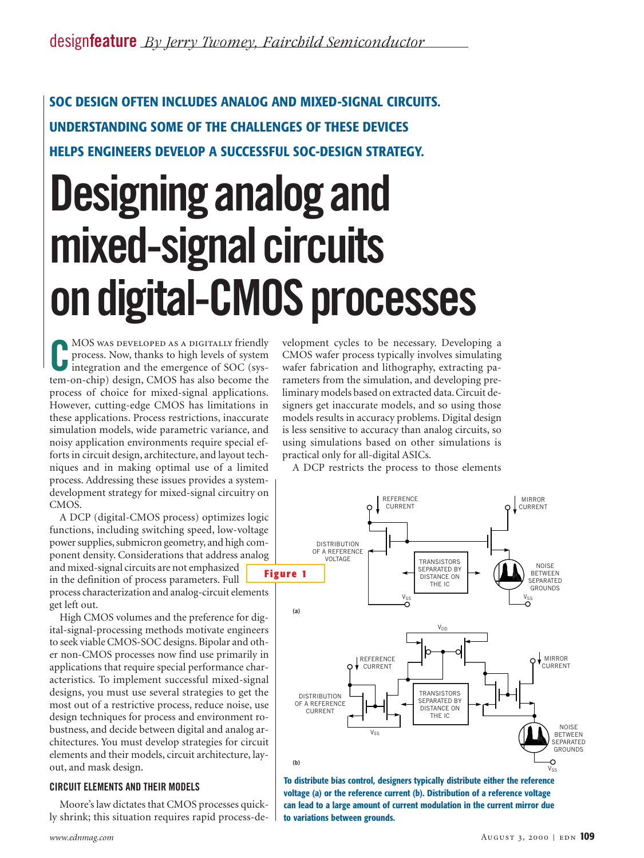## **SOC DESIGN OFTEN INCLUDES ANALOG AND MIXED-SIGNAL CIRCUITS. UNDERSTANDING SOME OF THE CHALLENGES OF THESE DEVICES HELPS ENGINEERS DEVELOP A SUCCESSFUL SOC-DESIGN STRATEGY.**

# **Designing analog and mixed-signal circuits on digital-CMOS processes**

**C**MOS WAS DEVELOPED AS A DIGITALLY friendly<br>
process. Now, thanks to high levels of system<br>
integration and the emergence of SOC (system-on-chip) design, CMOS has also become the MOS was developed as a digitally friendly process. Now, thanks to high levels of system integration and the emergence of SOC (sysprocess of choice for mixed-signal applications. However, cutting-edge CMOS has limitations in these applications. Process restrictions, inaccurate simulation models, wide parametric variance, and noisy application environments require special efforts in circuit design, architecture, and layout techniques and in making optimal use of a limited process. Addressing these issues provides a systemdevelopment strategy for mixed-signal circuitry on CMOS.

A DCP (digital-CMOS process) optimizes logic functions, including switching speed, low-voltage power supplies, submicron geometry, and high component density. Considerations that address analog

and mixed-signal circuits are not emphasized in the definition of process parameters. Full process characterization and analog-circuit elements get left out.

High CMOS volumes and the preference for digital-signal-processing methods motivate engineers to seek viable CMOS-SOC designs. Bipolar and other non-CMOS processes now find use primarily in applications that require special performance characteristics. To implement successful mixed-signal designs, you must use several strategies to get the most out of a restrictive process, reduce noise, use design techniques for process and environment robustness, and decide between digital and analog architectures. You must develop strategies for circuit elements and their models, circuit architecture, layout, and mask design.

#### **CIRCUIT ELEMENTS AND THEIR MODELS**

Moore's law dictates that CMOS processes quickly shrink; this situation requires rapid process-de-

velopment cycles to be necessary. Developing a CMOS wafer process typically involves simulating wafer fabrication and lithography, extracting parameters from the simulation, and developing preliminary models based on extracted data. Circuit designers get inaccurate models, and so using those models results in accuracy problems. Digital design is less sensitive to accuracy than analog circuits, so using simulations based on other simulations is practical only for all-digital ASICs.

A DCP restricts the process to those elements



**To distribute bias control, designers typically distribute either the reference voltage (a) or the reference current (b). Distribution of a reference voltage can lead to a large amount of current modulation in the current mirror due to variations between grounds.**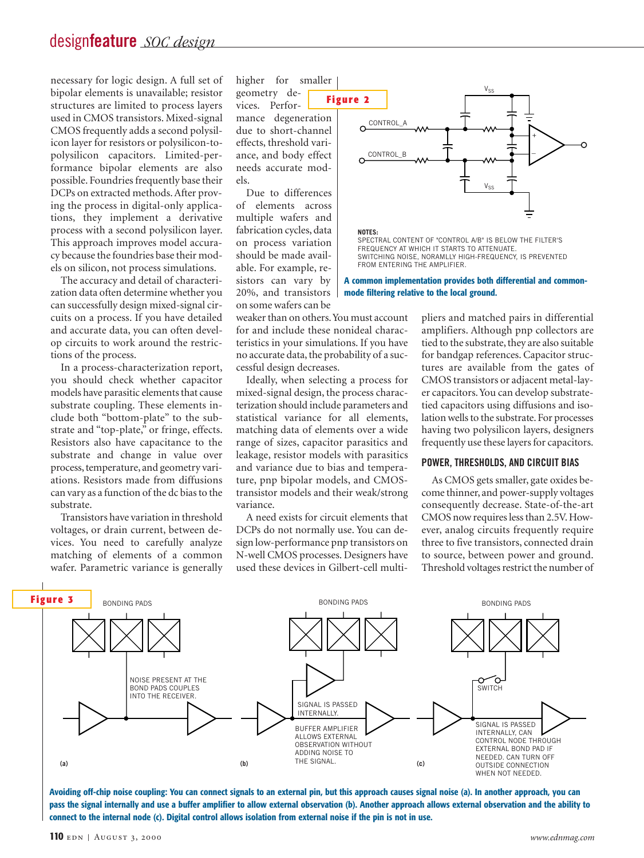### design**feature** *SOC design*

necessary for logic design. A full set of bipolar elements is unavailable; resistor structures are limited to process layers used in CMOS transistors. Mixed-signal CMOS frequently adds a second polysilicon layer for resistors or polysilicon-topolysilicon capacitors. Limited-performance bipolar elements are also possible. Foundries frequently base their DCPs on extracted methods. After proving the process in digital-only applications, they implement a derivative process with a second polysilicon layer. This approach improves model accuracy because the foundries base their models on silicon, not process simulations.

The accuracy and detail of characterization data often determine whether you can successfully design mixed-signal circuits on a process. If you have detailed and accurate data, you can often develop circuits to work around the restrictions of the process.

In a process-characterization report, you should check whether capacitor models have parasitic elements that cause substrate coupling. These elements include both "bottom-plate" to the substrate and "top-plate," or fringe, effects. Resistors also have capacitance to the substrate and change in value over process, temperature, and geometry variations. Resistors made from diffusions can vary as a function of the dc bias to the substrate.

Transistors have variation in threshold voltages, or drain current, between devices. You need to carefully analyze matching of elements of a common wafer. Parametric variance is generally higher for smaller geometry devices. Performance degeneration due to short-channel effects, threshold variance, and body effect needs accurate models.

Due to differences of elements across multiple wafers and fabrication cycles, data on process variation should be made available. For example, resistors can vary by 20%, and transistors on some wafers can be



FREQUENCY AT WHICH IT STARTS TO ATTENUATE. SWITCHING NOISE, NORAMLLY HIGH-FREQUENCY, IS PREVENTED FROM ENTERING THE AMPLIFIER.

**A common implementation provides both differential and commonmode filtering relative to the local ground.**

weaker than on others.You must account for and include these nonideal characteristics in your simulations. If you have no accurate data, the probability of a successful design decreases.

Ideally, when selecting a process for mixed-signal design, the process characterization should include parameters and statistical variance for all elements, matching data of elements over a wide range of sizes, capacitor parasitics and leakage, resistor models with parasitics and variance due to bias and temperature, pnp bipolar models, and CMOStransistor models and their weak/strong variance.

A need exists for circuit elements that DCPs do not normally use. You can design low-performance pnp transistors on N-well CMOS processes. Designers have used these devices in Gilbert-cell multipliers and matched pairs in differential amplifiers. Although pnp collectors are tied to the substrate, they are also suitable for bandgap references. Capacitor structures are available from the gates of CMOS transistors or adjacent metal-layer capacitors. You can develop substratetied capacitors using diffusions and isolation wells to the substrate. For processes having two polysilicon layers, designers frequently use these layers for capacitors.

#### **POWER, THRESHOLDS, AND CIRCUIT BIAS**

As CMOS gets smaller, gate oxides become thinner, and power-supply voltages consequently decrease. State-of-the-art CMOS now requires less than 2.5V. However, analog circuits frequently require three to five transistors, connected drain to source, between power and ground. Threshold voltages restrict the number of



**Avoiding off-chip noise coupling: You can connect signals to an external pin, but this approach causes signal noise (a). In another approach, you can pass the signal internally and use a buffer amplifier to allow external observation (b). Another approach allows external observation and the ability to connect to the internal node (c). Digital control allows isolation from external noise if the pin is not in use.**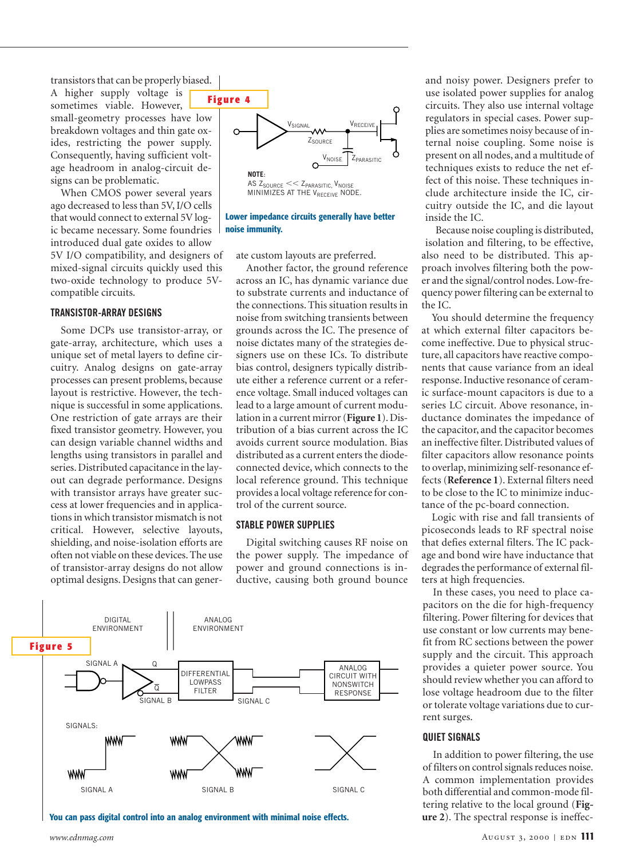transistors that can be properly biased.

A higher supply voltage is sometimes viable. However, small-geometry processes have low breakdown voltages and thin gate oxides, restricting the power supply. Consequently, having sufficient voltage headroom in analog-circuit designs can be problematic.

When CMOS power several years ago decreased to less than 5V, I/O cells that would connect to external 5V logic became necessary. Some foundries introduced dual gate oxides to allow 5V I/O compatibility, and designers of mixed-signal circuits quickly used this two-oxide technology to produce 5Vcompatible circuits.

#### **TRANSISTOR-ARRAY DESIGNS**

Some DCPs use transistor-array, or gate-array, architecture, which uses a unique set of metal layers to define circuitry. Analog designs on gate-array processes can present problems, because layout is restrictive. However, the technique is successful in some applications. One restriction of gate arrays are their fixed transistor geometry. However, you can design variable channel widths and lengths using transistors in parallel and series. Distributed capacitance in the layout can degrade performance. Designs with transistor arrays have greater success at lower frequencies and in applications in which transistor mismatch is not critical. However, selective layouts, shielding, and noise-isolation efforts are often not viable on these devices. The use of transistor-array designs do not allow optimal designs. Designs that can gener-



#### **Lower impedance circuits generally have better noise immunity.**

ate custom layouts are preferred.

Another factor, the ground reference across an IC, has dynamic variance due to substrate currents and inductance of the connections. This situation results in noise from switching transients between grounds across the IC. The presence of noise dictates many of the strategies designers use on these ICs. To distribute bias control, designers typically distribute either a reference current or a reference voltage. Small induced voltages can lead to a large amount of current modulation in a current mirror (**Figure 1**). Distribution of a bias current across the IC avoids current source modulation. Bias distributed as a current enters the diodeconnected device, which connects to the local reference ground. This technique provides a local voltage reference for control of the current source.

#### **STABLE POWER SUPPLIES**

Digital switching causes RF noise on the power supply. The impedance of power and ground connections is inductive, causing both ground bounce



**You can pass digital control into an analog environment with minimal noise effects.**

and noisy power. Designers prefer to use isolated power supplies for analog circuits. They also use internal voltage regulators in special cases. Power supplies are sometimes noisy because of internal noise coupling. Some noise is present on all nodes, and a multitude of techniques exists to reduce the net effect of this noise. These techniques include architecture inside the IC, circuitry outside the IC, and die layout inside the IC.

Because noise coupling is distributed, isolation and filtering, to be effective, also need to be distributed. This approach involves filtering both the power and the signal/control nodes. Low-frequency power filtering can be external to the IC.

You should determine the frequency at which external filter capacitors become ineffective. Due to physical structure, all capacitors have reactive components that cause variance from an ideal response. Inductive resonance of ceramic surface-mount capacitors is due to a series LC circuit. Above resonance, inductance dominates the impedance of the capacitor, and the capacitor becomes an ineffective filter. Distributed values of filter capacitors allow resonance points to overlap, minimizing self-resonance effects (**Reference 1**). External filters need to be close to the IC to minimize inductance of the pc-board connection.

Logic with rise and fall transients of picoseconds leads to RF spectral noise that defies external filters. The IC package and bond wire have inductance that degrades the performance of external filters at high frequencies.

In these cases, you need to place capacitors on the die for high-frequency filtering. Power filtering for devices that use constant or low currents may benefit from RC sections between the power supply and the circuit. This approach provides a quieter power source. You should review whether you can afford to lose voltage headroom due to the filter or tolerate voltage variations due to current surges.

#### **QUIET SIGNALS**

In addition to power filtering, the use of filters on control signals reduces noise. A common implementation provides both differential and common-mode filtering relative to the local ground (**Figure 2**). The spectral response is ineffec-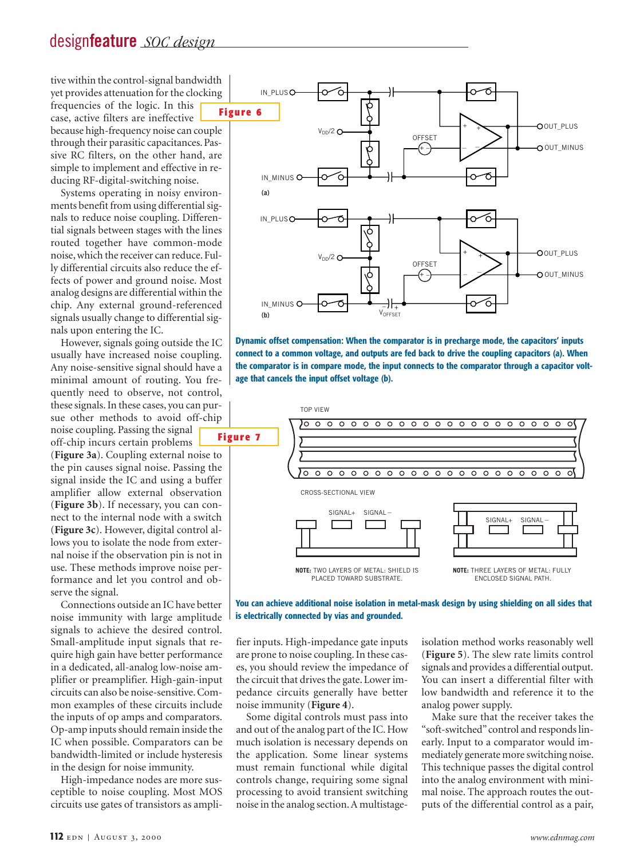## design**feature** *SOC design*

tive within the control-signal bandwidth yet provides attenuation for the clocking frequencies of the logic. In this case, active filters are ineffective because high-frequency noise can couple through their parasitic capacitances. Passive RC filters, on the other hand, are simple to implement and effective in reducing RF-digital-switching noise.

Systems operating in noisy environments benefit from using differential signals to reduce noise coupling. Differential signals between stages with the lines routed together have common-mode noise, which the receiver can reduce. Fully differential circuits also reduce the effects of power and ground noise. Most analog designs are differential within the chip. Any external ground-referenced signals usually change to differential signals upon entering the IC.

However, signals going outside the IC usually have increased noise coupling. Any noise-sensitive signal should have a minimal amount of routing. You frequently need to observe, not control, these signals. In these cases, you can pursue other methods to avoid off-chip noise coupling. Passing the signal off-chip incurs certain problems

(**Figure 3a**). Coupling external noise to the pin causes signal noise. Passing the signal inside the IC and using a buffer amplifier allow external observation (**Figure 3b**). If necessary, you can connect to the internal node with a switch (**Figure 3c**). However, digital control allows you to isolate the node from external noise if the observation pin is not in use. These methods improve noise performance and let you control and observe the signal.

Connections outside an IC have better noise immunity with large amplitude signals to achieve the desired control. Small-amplitude input signals that require high gain have better performance in a dedicated, all-analog low-noise amplifier or preamplifier. High-gain-input circuits can also be noise-sensitive. Common examples of these circuits include the inputs of op amps and comparators. Op-amp inputs should remain inside the IC when possible. Comparators can be bandwidth-limited or include hysteresis in the design for noise immunity.

High-impedance nodes are more susceptible to noise coupling. Most MOS circuits use gates of transistors as ampli-



**Dynamic offset compensation: When the comparator is in precharge mode, the capacitors' inputs connect to a common voltage, and outputs are fed back to drive the coupling capacitors (a). When the comparator is in compare mode, the input connects to the comparator through a capacitor voltage that cancels the input offset voltage (b).**



**You can achieve additional noise isolation in metal-mask design by using shielding on all sides that is electrically connected by vias and grounded.**

fier inputs. High-impedance gate inputs are prone to noise coupling. In these cases, you should review the impedance of the circuit that drives the gate. Lower impedance circuits generally have better noise immunity (**Figure 4**).

Some digital controls must pass into and out of the analog part of the IC. How much isolation is necessary depends on the application. Some linear systems must remain functional while digital controls change, requiring some signal processing to avoid transient switching noise in the analog section. A multistageisolation method works reasonably well (**Figure 5**). The slew rate limits control signals and provides a differential output. You can insert a differential filter with low bandwidth and reference it to the analog power supply.

Make sure that the receiver takes the "soft-switched"control and responds linearly. Input to a comparator would immediately generate more switching noise. This technique passes the digital control into the analog environment with minimal noise. The approach routes the outputs of the differential control as a pair,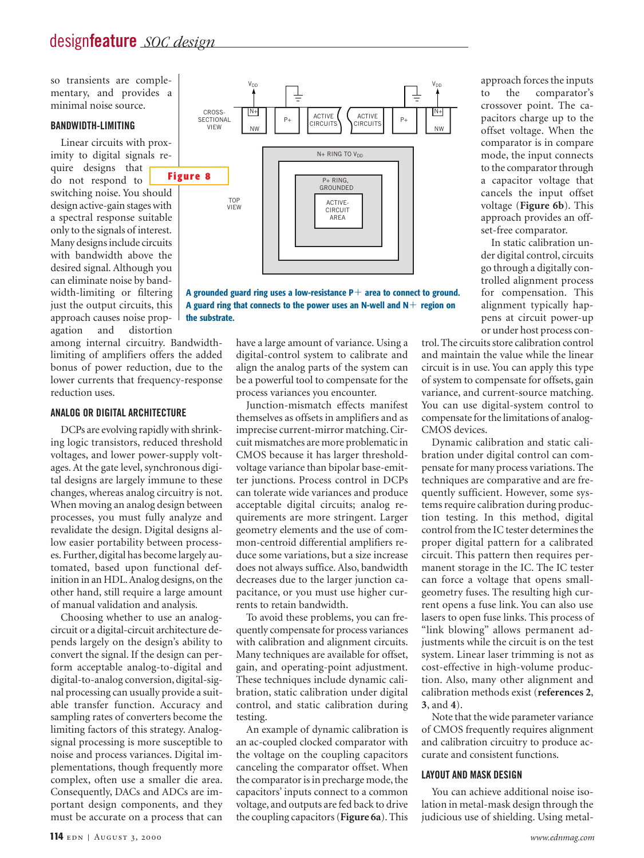so transients are complementary, and provides a minimal noise source.

#### **BANDWIDTH-LIMITING**

Linear circuits with proximity to digital signals require designs that do not respond to switching noise. You should design active-gain stages with a spectral response suitable only to the signals of interest. Many designs include circuits with bandwidth above the desired signal. Although you can eliminate noise by bandwidth-limiting or filtering just the output circuits, this approach causes noise propagation and distortion

among internal circuitry. Bandwidthlimiting of amplifiers offers the added bonus of power reduction, due to the lower currents that frequency-response reduction uses.

#### **ANALOG OR DIGITAL ARCHITECTURE**

DCPs are evolving rapidly with shrinking logic transistors, reduced threshold voltages, and lower power-supply voltages. At the gate level, synchronous digital designs are largely immune to these changes, whereas analog circuitry is not. When moving an analog design between processes, you must fully analyze and revalidate the design. Digital designs allow easier portability between processes. Further, digital has become largely automated, based upon functional definition in an HDL.Analog designs, on the other hand, still require a large amount of manual validation and analysis.

Choosing whether to use an analogcircuit or a digital-circuit architecture depends largely on the design's ability to convert the signal. If the design can perform acceptable analog-to-digital and digital-to-analog conversion, digital-signal processing can usually provide a suitable transfer function. Accuracy and sampling rates of converters become the limiting factors of this strategy. Analogsignal processing is more susceptible to noise and process variances. Digital implementations, though frequently more complex, often use a smaller die area. Consequently, DACs and ADCs are important design components, and they must be accurate on a process that can



**A grounded guard ring uses a low-resistance P**1 **area to connect to ground. A guard ring that connects to the power uses an N-well and N**1 **region on the substrate.**

> have a large amount of variance. Using a digital-control system to calibrate and align the analog parts of the system can be a powerful tool to compensate for the process variances you encounter.

> Junction-mismatch effects manifest themselves as offsets in amplifiers and as imprecise current-mirror matching. Circuit mismatches are more problematic in CMOS because it has larger thresholdvoltage variance than bipolar base-emitter junctions. Process control in DCPs can tolerate wide variances and produce acceptable digital circuits; analog requirements are more stringent. Larger geometry elements and the use of common-centroid differential amplifiers reduce some variations, but a size increase does not always suffice. Also, bandwidth decreases due to the larger junction capacitance, or you must use higher currents to retain bandwidth.

> To avoid these problems, you can frequently compensate for process variances with calibration and alignment circuits. Many techniques are available for offset, gain, and operating-point adjustment. These techniques include dynamic calibration, static calibration under digital control, and static calibration during testing.

> An example of dynamic calibration is an ac-coupled clocked comparator with the voltage on the coupling capacitors canceling the comparator offset. When the comparator is in precharge mode, the capacitors' inputs connect to a common voltage, and outputs are fed back to drive the coupling capacitors (**Figure 6a**). This

approach forces the inputs to the comparator's crossover point. The capacitors charge up to the offset voltage. When the comparator is in compare mode, the input connects to the comparator through a capacitor voltage that cancels the input offset voltage (**Figure 6b**). This approach provides an offset-free comparator.

In static calibration under digital control, circuits go through a digitally controlled alignment process for compensation. This alignment typically happens at circuit power-up or under host process con-

trol. The circuits store calibration control and maintain the value while the linear circuit is in use. You can apply this type of system to compensate for offsets, gain variance, and current-source matching. You can use digital-system control to compensate for the limitations of analog-CMOS devices.

Dynamic calibration and static calibration under digital control can compensate for many process variations. The techniques are comparative and are frequently sufficient. However, some systems require calibration during production testing. In this method, digital control from the IC tester determines the proper digital pattern for a calibrated circuit. This pattern then requires permanent storage in the IC. The IC tester can force a voltage that opens smallgeometry fuses. The resulting high current opens a fuse link. You can also use lasers to open fuse links. This process of "link blowing" allows permanent adjustments while the circuit is on the test system. Linear laser trimming is not as cost-effective in high-volume production. Also, many other alignment and calibration methods exist (**references 2**, **3**, and **4**).

Note that the wide parameter variance of CMOS frequently requires alignment and calibration circuitry to produce accurate and consistent functions.

#### **LAYOUT AND MASK DESIGN**

You can achieve additional noise isolation in metal-mask design through the judicious use of shielding. Using metal